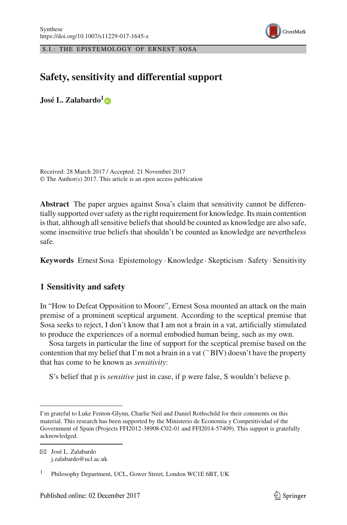

S.I.: THE EPISTEMOLOGY OF ERNEST SOSA

# **Safety, sensitivity and differential support**

**José L. Zalabardo[1](http://orcid.org/0000-0002-1247-3548)**

Received: 28 March 2017 / Accepted: 21 November 2017 © The Author(s) 2017. This article is an open access publication

**Abstract** The paper argues against Sosa's claim that sensitivity cannot be differentially supported over safety as the right requirement for knowledge. Its main contention is that, although all sensitive beliefs that should be counted as knowledge are also safe, some insensitive true beliefs that shouldn't be counted as knowledge are nevertheless safe.

**Keywords** Ernest Sosa · Epistemology · Knowledge · Skepticism · Safety · Sensitivity

## <span id="page-0-0"></span>**1 Sensitivity and safety**

In "How to Defeat Opposition to Moore", Ernest Sosa mounted an attack on the main premise of a prominent sceptical argument. According to the sceptical premise that Sosa seeks to reject, I don't know that I am not a brain in a vat, artificially stimulated to produce the experiences of a normal embodied human being, such as my own.

Sosa targets in particular the line of support for the sceptical premise based on the contention that my belief that I'm not a brain in a vat (∼BIV) doesn't have the property that has come to be known as *sensitivity*:

S's belief that p is *sensitive* just in case, if p were false, S wouldn't believe p.

I'm grateful to Luke Fenton-Glynn, Charlie Neil and Daniel Rothschild for their comments on this material. This research has been supported by the Ministerio de Economia y Competitividad of the Government of Spain (Projects FFI2012-38908-C02-01 and FFI2014-57409). This support is gratefully acknowledged.

B José L. Zalabardo j.zalabardo@ucl.ac.uk

<sup>1</sup> Philosophy Department, UCL, Gower Street, London WC1E 6BT, UK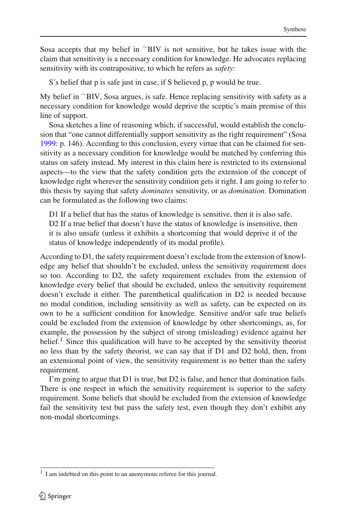Sosa accepts that my belief in ∼BIV is not sensitive, but he takes issue with the claim that sensitivity is a necessary condition for knowledge. He advocates replacing sensitivity with its contrapositive, to which he refers as *safety*:

S's belief that p is safe just in case, if S believed p, p would be true.

My belief in <sup>∼</sup>BIV, Sosa argues, is safe. Hence replacing sensitivity with safety as a necessary condition for knowledge would deprive the sceptic's main premise of this line of support.

Sosa sketches a line of reasoning which, if successful, would establish the conclusion that "one cannot differentially support sensitivity as the right requirement" (Sos[a](#page-9-0) [1999:](#page-9-0) p. 146). According to this conclusion, every virtue that can be claimed for sensitivity as a necessary condition for knowledge would be matched by conferring this status on safety instead. My interest in this claim here is restricted to its extensional aspects—to the view that the safety condition gets the extension of the concept of knowledge right wherever the sensitivity condition gets it right. I am going to refer to this thesis by saying that safety *dominates* sensitivity, or as *domination*. Domination can be formulated as the following two claims:

D1 If a belief that has the status of knowledge is sensitive, then it is also safe. D2 If a true belief that doesn't have the status of knowledge is insensitive, then it is also unsafe (unless it exhibits a shortcoming that would deprive it of the status of knowledge independently of its modal profile).

According to D1, the safety requirement doesn't exclude from the extension of knowledge any belief that shouldn't be excluded, unless the sensitivity requirement does so too. According to D2, the safety requirement excludes from the extension of knowledge every belief that should be excluded, unless the sensitivity requirement doesn't exclude it either. The parenthetical qualification in D2 is needed because no modal condition, including sensitivity as well as safety, can be expected on its own to be a sufficient condition for knowledge. Sensitive and/or safe true beliefs could be excluded from the extension of knowledge by other shortcomings, as, for example, the possession by the subject of strong (misleading) evidence against her belief.<sup>1</sup> Since this qualification will have to be accepted by the sensitivity theorist no less than by the safety theorist, we can say that if D1 and D2 hold, then, from an extensional point of view, the sensitivity requirement is no better than the safety requirement.

I'm going to argue that D1 is true, but D2 is false, and hence that domination fails. There is one respect in which the sensitivity requirement is superior to the safety requirement. Some beliefs that should be excluded from the extension of knowledge fail the sensitivity test but pass the safety test, even though they don't exhibit any non-modal shortcomings.

<span id="page-1-0"></span><sup>&</sup>lt;sup>1</sup> I am indebted on this point to an anonymous referee for this journal.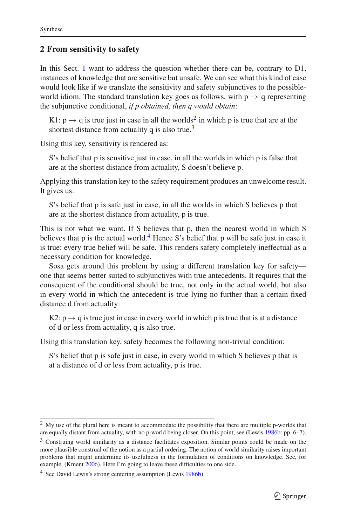## **2 From sensitivity to safety**

In this Sect. [1](#page-0-0) want to address the question whether there can be, contrary to D1, instances of knowledge that are sensitive but unsafe. We can see what this kind of case would look like if we translate the sensitivity and safety subjunctives to the possibleworld idiom. The standard translation key goes as follows, with  $p \rightarrow q$  representing the subjunctive conditional, *if p obtained, then q would obtain*:

K1:  $p \rightarrow q$  is true just in case in all the worlds<sup>[2](#page-2-0)</sup> in which p is true that are at the shortest distance from actuality q is also true.<sup>3</sup>

Using this key, sensitivity is rendered as:

S's belief that p is sensitive just in case, in all the worlds in which p is false that are at the shortest distance from actuality, S doesn't believe p.

Applying this translation key to the safety requirement produces an unwelcome result. It gives us:

S's belief that p is safe just in case, in all the worlds in which S believes p that are at the shortest distance from actuality, p is true.

This is not what we want. If S believes that p, then the nearest world in which S believes that p is the actual world.<sup>[4](#page-2-2)</sup> Hence S's belief that p will be safe just in case it is true: every true belief will be safe. This renders safety completely ineffectual as a necessary condition for knowledge.

Sosa gets around this problem by using a different translation key for safety one that seems better suited to subjunctives with true antecedents. It requires that the consequent of the conditional should be true, not only in the actual world, but also in every world in which the antecedent is true lying no further than a certain fixed distance d from actuality:

K2:  $p \rightarrow q$  is true just in case in every world in which p is true that is at a distance of d or less from actuality, q is also true.

Using this translation key, safety becomes the following non-trivial condition:

S's belief that p is safe just in case, in every world in which S believes p that is at a distance of d or less from actuality, p is true.

<span id="page-2-0"></span><sup>&</sup>lt;sup>2</sup> My use of the plural here is meant to accommodate the possibility that there are multiple p-worlds that are equally distant from actuality, with no p-world being closer. On this point, see (Lewi[s](#page-9-1) [1986b](#page-9-1): pp. 6–7).

<span id="page-2-1"></span><sup>&</sup>lt;sup>3</sup> Construing world similarity as a distance facilitates exposition. Similar points could be made on the more plausible construal of the notion as a partial ordering. The notion of world similarity raises important problems that might undermine its usefulness in the formulation of conditions on knowledge. See, for example, (Kmen[t](#page-9-2) [2006\)](#page-9-2). Here I'm going to leave these difficulties to one side.

<span id="page-2-2"></span><sup>&</sup>lt;[s](#page-9-1)up>4</sup> See David Lewis's strong centering assumption (Lewis [1986b\)](#page-9-1).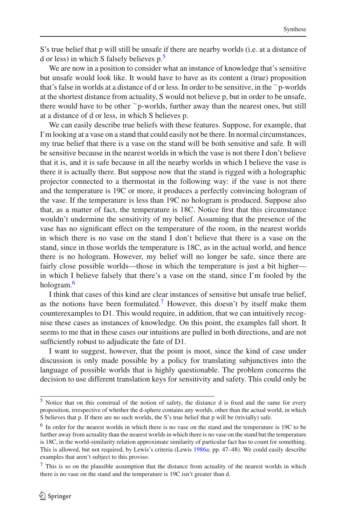S's true belief that p will still be unsafe if there are nearby worlds (i.e. at a distance of d or less) in which S falsely believes p[.5](#page-3-0)

We are now in a position to consider what an instance of knowledge that's sensitive but unsafe would look like. It would have to have as its content a (true) proposition that's false in worlds at a distance of d or less. In order to be sensitive, in the ∼p-worlds at the shortest distance from actuality, S would not believe p, but in order to be unsafe, there would have to be other ∼p-worlds, further away than the nearest ones, but still at a distance of d or less, in which S believes p.

We can easily describe true beliefs with these features. Suppose, for example, that I'm looking at a vase on a stand that could easily not be there. In normal circumstances, my true belief that there is a vase on the stand will be both sensitive and safe. It will be sensitive because in the nearest worlds in which the vase is not there I don't believe that it is, and it is safe because in all the nearby worlds in which I believe the vase is there it is actually there. But suppose now that the stand is rigged with a holographic projector connected to a thermostat in the following way: if the vase is not there and the temperature is 19C or more, it produces a perfectly convincing hologram of the vase. If the temperature is less than 19C no hologram is produced. Suppose also that, as a matter of fact, the temperature is 18C. Notice first that this circumstance wouldn't undermine the sensitivity of my belief. Assuming that the presence of the vase has no significant effect on the temperature of the room, in the nearest worlds in which there is no vase on the stand I don't believe that there is a vase on the stand, since in those worlds the temperature is 18C, as in the actual world, and hence there is no hologram. However, my belief will no longer be safe, since there are fairly close possible worlds—those in which the temperature is just a bit higher in which I believe falsely that there's a vase on the stand, since I'm fooled by the hologram.[6](#page-3-1)

I think that cases of this kind are clear instances of sensitive but unsafe true belief, as the notions have been formulated.<sup>[7](#page-3-2)</sup> However, this doesn't by itself make them counterexamples to D1. This would require, in addition, that we can intuitively recognise these cases as instances of knowledge. On this point, the examples fall short. It seems to me that in these cases our intuitions are pulled in both directions, and are not sufficiently robust to adjudicate the fate of D1.

I want to suggest, however, that the point is moot, since the kind of case under discussion is only made possible by a policy for translating subjunctives into the language of possible worlds that is highly questionable. The problem concerns the decision to use different translation keys for sensitivity and safety. This could only be

<span id="page-3-0"></span><sup>5</sup> Notice that on this construal of the notion of safety, the distance d is fixed and the same for every proposition, irrespective of whether the d-sphere contains any worlds, other than the actual world, in which S believes that p. If there are no such worlds, the S's true belief that p will be (trivially) safe.

<span id="page-3-1"></span><sup>6</sup> In order for the nearest worlds in which there is no vase on the stand and the temperature is 19C to be further away from actuality than the nearest worlds in which there is no vase on the stand but the temperature is 18C, in the world-similarity relation approximate similarity of particular fact has to count for something. This is allowed, but not required, by Lewis's criteria (Lewi[s](#page-9-3) [1986a:](#page-9-3) pp. 47–48). We could easily describe examples that aren't subject to this proviso.

<span id="page-3-2"></span> $<sup>7</sup>$  This is so on the plausible assumption that the distance from actuality of the nearest worlds in which</sup> there is no vase on the stand and the temperature is 19C isn't greater than d.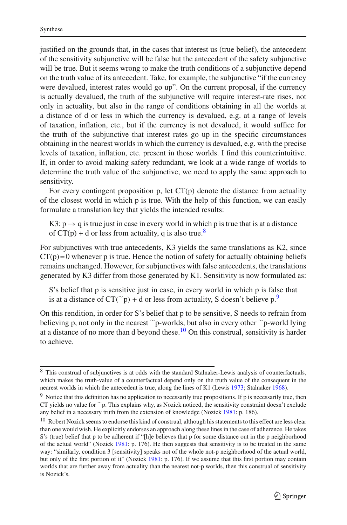justified on the grounds that, in the cases that interest us (true belief), the antecedent of the sensitivity subjunctive will be false but the antecedent of the safety subjunctive will be true. But it seems wrong to make the truth conditions of a subjunctive depend on the truth value of its antecedent. Take, for example, the subjunctive "if the currency were devalued, interest rates would go up". On the current proposal, if the currency is actually devalued, the truth of the subjunctive will require interest-rate rises, not only in actuality, but also in the range of conditions obtaining in all the worlds at a distance of d or less in which the currency is devalued, e.g. at a range of levels of taxation, inflation, etc., but if the currency is not devalued, it would suffice for the truth of the subjunctive that interest rates go up in the specific circumstances obtaining in the nearest worlds in which the currency is devalued, e.g. with the precise levels of taxation, inflation, etc. present in those worlds. I find this counterintuitive. If, in order to avoid making safety redundant, we look at a wide range of worlds to determine the truth value of the subjunctive, we need to apply the same approach to sensitivity.

For every contingent proposition p, let CT(p) denote the distance from actuality of the closest world in which p is true. With the help of this function, we can easily formulate a translation key that yields the intended results:

K3:  $p \rightarrow q$  is true just in case in every world in which p is true that is at a distance of  $CT(p) + d$  or less from actuality, q is also true.<sup>[8](#page-4-0)</sup>

For subjunctives with true antecedents, K3 yields the same translations as K2, since  $CT(p)=0$  whenever p is true. Hence the notion of safety for actually obtaining beliefs remains unchanged. However, for subjunctives with false antecedents, the translations generated by K3 differ from those generated by K1. Sensitivity is now formulated as:

S's belief that p is sensitive just in case, in every world in which p is false that is at a distance of  $CT(\gamma p) + d$  or less from actuality, S doesn't believe p.<sup>9</sup>

On this rendition, in order for S's belief that p to be sensitive, S needs to refrain from believing p, not only in the nearest ∼p-worlds, but also in every other ∼p-world lying at a distance of no more than d beyond these.<sup>10</sup> On this construal, sensitivity is harder to achieve.

<span id="page-4-0"></span><sup>8</sup> This construal of subjunctives is at odds with the standard Stalnaker-Lewis analysis of counterfactuals, which makes the truth-value of a counterfactual depend only on the truth value of the consequent in the nearest worlds in which the antecedent is true, along the lines of K1 (Lewi[s](#page-9-4) [1973;](#page-9-4) Stalnake[r](#page-9-5) [1968\)](#page-9-5).

<span id="page-4-1"></span><sup>9</sup> Notice that this definition has no application to necessarily true propositions. If p is necessarily true, then CT yields no value for ∼p. This explains why, as Nozick noticed, the sensitivity constraint doesn't exclude any belief in a necessary truth from the extension of knowledge (Nozic[k](#page-9-6) [1981:](#page-9-6) p. 186).

<span id="page-4-2"></span><sup>&</sup>lt;sup>10</sup> Robert Nozick seems to endorse this kind of construal, although his statements to this effect are less clear than one would wish. He explicitly endorses an approach along these lines in the case of adherence. He takes S's (true) belief that p to be adherent if "[h]e believes that p for some distance out in the p neighborhood of the actual world" (Nozic[k](#page-9-6) [1981:](#page-9-6) p. 176). He then suggests that sensitivity is to be treated in the same way: "similarly, condition 3 [sensitivity] speaks not of the whole not-p neighborhood of the actual world, but only of the first portion of it" (Nozic[k](#page-9-6) [1981:](#page-9-6) p. 176). If we assume that this first portion may contain worlds that are further away from actuality than the nearest not-p worlds, then this construal of sensitivity is Nozick's.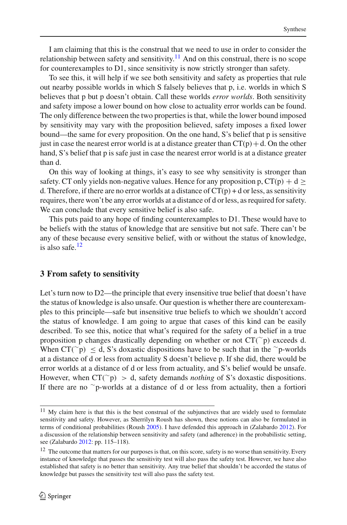I am claiming that this is the construal that we need to use in order to consider the relationship between safety and sensitivity.<sup>[11](#page-5-0)</sup> And on this construal, there is no scope for counterexamples to D1, since sensitivity is now strictly stronger than safety.

To see this, it will help if we see both sensitivity and safety as properties that rule out nearby possible worlds in which S falsely believes that p, i.e. worlds in which S believes that p but p doesn't obtain. Call these worlds *error worlds*. Both sensitivity and safety impose a lower bound on how close to actuality error worlds can be found. The only difference between the two properties is that, while the lower bound imposed by sensitivity may vary with the proposition believed, safety imposes a fixed lower bound—the same for every proposition. On the one hand, S's belief that p is sensitive just in case the nearest error world is at a distance greater than  $CT(p) + d$ . On the other hand, S's belief that p is safe just in case the nearest error world is at a distance greater than d.

On this way of looking at things, it's easy to see why sensitivity is stronger than safety. CT only yields non-negative values. Hence for any proposition p,  $CT(p) + d$ d. Therefore, if there are no error worlds at a distance of  $CT(p) + d$  or less, as sensitivity requires, there won't be any error worlds at a distance of d or less, as required for safety. We can conclude that every sensitive belief is also safe.

This puts paid to any hope of finding counterexamples to D1. These would have to be beliefs with the status of knowledge that are sensitive but not safe. There can't be any of these because every sensitive belief, with or without the status of knowledge, is also safe $12$ 

### **3 From safety to sensitivity**

Let's turn now to D2—the principle that every insensitive true belief that doesn't have the status of knowledge is also unsafe. Our question is whether there are counterexamples to this principle—safe but insensitive true beliefs to which we shouldn't accord the status of knowledge. I am going to argue that cases of this kind can be easily described. To see this, notice that what's required for the safety of a belief in a true proposition p changes drastically depending on whether or not CT*(*∼p*)* exceeds d. When  $CT(\gamma p) < d$ , S's doxastic dispositions have to be such that in the  $\gamma$ -worlds at a distance of d or less from actuality S doesn't believe p. If she did, there would be error worlds at a distance of d or less from actuality, and S's belief would be unsafe. However, when CT*(*∼p*) >* d, safety demands *nothing* of S's doxastic dispositions. If there are no ∼p-worlds at a distance of d or less from actuality, then a fortiori

<span id="page-5-0"></span> $11$  My claim here is that this is the best construal of the subjunctives that are widely used to formulate sensitivity and safety. However, as Sherrilyn Roush has shown, these notions can also be formulated in terms of conditional probabilities (Rous[h](#page-9-7) [2005\)](#page-9-7). I have defended this approach in (Zalabard[o](#page-9-8) [2012](#page-9-8)). For a discussion of the relationship between sensitivity and safety (and adherence) in the probabilistic setting, see (Zalabard[o](#page-9-8) [2012:](#page-9-8) pp. 115–118).

<span id="page-5-1"></span><sup>&</sup>lt;sup>12</sup> The outcome that matters for our purposes is that, on this score, safety is no worse than sensitivity. Every instance of knowledge that passes the sensitivity test will also pass the safety test. However, we have also established that safety is no better than sensitivity. Any true belief that shouldn't be accorded the status of knowledge but passes the sensitivity test will also pass the safety test.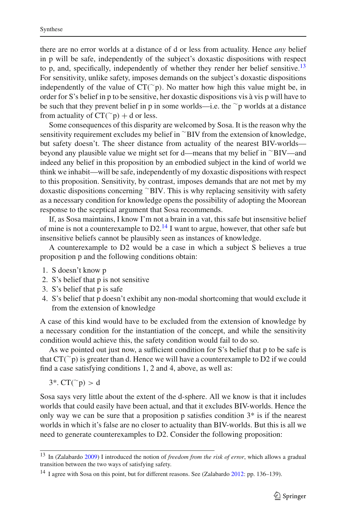there are no error worlds at a distance of d or less from actuality. Hence *any* belief in p will be safe, independently of the subject's doxastic dispositions with respect to p, and, specifically, independently of whether they render her belief sensitive.<sup>13</sup> For sensitivity, unlike safety, imposes demands on the subject's doxastic dispositions independently of the value of  $CT(\gamma p)$ . No matter how high this value might be, in order for S's belief in p to be sensitive, her doxastic dispositions vis à vis p will have to be such that they prevent belief in p in some worlds—i.e. the ∼p worlds at a distance from actuality of  $CT(\tilde{p}) + d$  or less.

Some consequences of this disparity are welcomed by Sosa. It is the reason why the sensitivity requirement excludes my belief in ~BIV from the extension of knowledge, but safety doesn't. The sheer distance from actuality of the nearest BIV-worlds beyond any plausible value we might set for d—means that my belief in ∼BIV—and indeed any belief in this proposition by an embodied subject in the kind of world we think we inhabit—will be safe, independently of my doxastic dispositions with respect to this proposition. Sensitivity, by contrast, imposes demands that are not met by my doxastic dispositions concerning ∼BIV. This is why replacing sensitivity with safety as a necessary condition for knowledge opens the possibility of adopting the Moorean response to the sceptical argument that Sosa recommends.

If, as Sosa maintains, I know I'm not a brain in a vat, this safe but insensitive belief of mine is not a counterexample to  $D2<sup>14</sup>$  I want to argue, however, that other safe but insensitive beliefs cannot be plausibly seen as instances of knowledge.

A counterexample to D2 would be a case in which a subject S believes a true proposition p and the following conditions obtain:

- 1. S doesn't know p
- 2. S's belief that p is not sensitive
- 3. S's belief that p is safe
- 4. S's belief that p doesn't exhibit any non-modal shortcoming that would exclude it from the extension of knowledge

A case of this kind would have to be excluded from the extension of knowledge by a necessary condition for the instantiation of the concept, and while the sensitivity condition would achieve this, the safety condition would fail to do so.

As we pointed out just now, a sufficient condition for S's belief that p to be safe is that  $CT(\sim p)$  is greater than d. Hence we will have a counterexample to D2 if we could find a case satisfying conditions 1, 2 and 4, above, as well as:

3\*. CT*(*∼p*) >* d

Sosa says very little about the extent of the d-sphere. All we know is that it includes worlds that could easily have been actual, and that it excludes BIV-worlds. Hence the only way we can be sure that a proposition p satisfies condition  $3*$  is if the nearest worlds in which it's false are no closer to actuality than BIV-worlds. But this is all we need to generate counterexamples to D2. Consider the following proposition:

<span id="page-6-0"></span><sup>13</sup> In (Zalabard[o](#page-9-9) [2009](#page-9-9)) I introduced the notion of *freedom from the risk of error*, which allows a gradual transition between the two ways of satisfying safety.

<span id="page-6-1"></span><sup>&</sup>lt;sup>14</sup> I agree with S[o](#page-9-8)sa on this point, but for different reasons. See (Zalabardo [2012:](#page-9-8) pp. 136–139).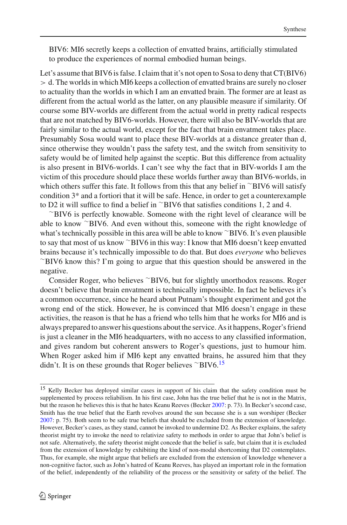BIV6: MI6 secretly keeps a collection of envatted brains, artificially stimulated to produce the experiences of normal embodied human beings.

Let's assume that BIV6 is false. I claim that it's not open to Sosa to deny that  $CT(BIV6)$ *>* d. The worlds in which MI6 keeps a collection of envatted brains are surely no closer to actuality than the worlds in which I am an envatted brain. The former are at least as different from the actual world as the latter, on any plausible measure if similarity. Of course some BIV-worlds are different from the actual world in pretty radical respects that are not matched by BIV6-worlds. However, there will also be BIV-worlds that are fairly similar to the actual world, except for the fact that brain envatment takes place. Presumably Sosa would want to place these BIV-worlds at a distance greater than d, since otherwise they wouldn't pass the safety test, and the switch from sensitivity to safety would be of limited help against the sceptic. But this difference from actuality is also present in BIV6-worlds. I can't see why the fact that in BIV-worlds I am the victim of this procedure should place these worlds further away than BIV6-worlds, in which others suffer this fate. It follows from this that any belief in ∼BIV6 will satisfy condition 3\* and a fortiori that it will be safe. Hence, in order to get a counterexample to D2 it will suffice to find a belief in ∼BIV6 that satisfies conditions 1, 2 and 4.

∼BIV6 is perfectly knowable. Someone with the right level of clearance will be able to know ∼BIV6. And even without this, someone with the right knowledge of what's technically possible in this area will be able to know ∼BIV6. It's even plausible to say that most of us know ∼BIV6 in this way: I know that MI6 doesn't keep envatted brains because it's technically impossible to do that. But does *everyone* who believes ∼BIV6 know this? I'm going to argue that this question should be answered in the negative.

Consider Roger, who believes ∼BIV6, but for slightly unorthodox reasons. Roger doesn't believe that brain envatment is technically impossible. In fact he believes it's a common occurrence, since he heard about Putnam's thought experiment and got the wrong end of the stick. However, he is convinced that MI6 doesn't engage in these activities, the reason is that he has a friend who tells him that he works for MI6 and is always prepared to answer his questions about the service. As it happens, Roger's friend is just a cleaner in the MI6 headquarters, with no access to any classified information, and gives random but coherent answers to Roger's questions, just to humour him. When Roger asked him if MI6 kept any envatted brains, he assured him that they didn't. It is on these grounds that Roger believes <sup>∼</sup>BIV6.[15](#page-7-0)

<span id="page-7-0"></span><sup>15</sup> Kelly Becker has deployed similar cases in support of his claim that the safety condition must be supplemented by process reliabilism. In his first case, John has the true belief that he is not in the Matrix, but the reason he believes this is that he hates Keanu Reeves (Becke[r](#page-9-10) [2007](#page-9-10): p. 73). In Becker's second case, Smith has the true belief that the Earth revolves around the sun because she is a sun worshiper (Becke[r](#page-9-10) [2007:](#page-9-10) p. 75). Both seem to be safe true beliefs that should be excluded from the extension of knowledge. However, Becker's cases, as they stand, cannot be invoked to undermine D2. As Becker explains, the safety theorist might try to invoke the need to relativize safety to methods in order to argue that John's belief is not safe. Alternatively, the safety theorist might concede that the belief is safe, but claim that it is excluded from the extension of knowledge by exhibiting the kind of non-modal shortcoming that D2 contemplates. Thus, for example, she might argue that beliefs are excluded from the extension of knowledge whenever a non-cognitive factor, such as John's hatred of Keanu Reeves, has played an important role in the formation of the belief, independently of the reliability of the process or the sensitivity or safety of the belief. The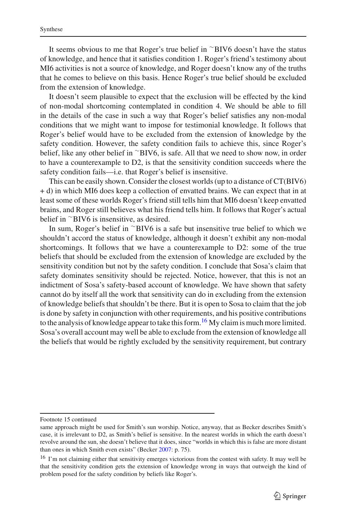It seems obvious to me that Roger's true belief in ∼BIV6 doesn't have the status of knowledge, and hence that it satisfies condition 1. Roger's friend's testimony about MI6 activities is not a source of knowledge, and Roger doesn't know any of the truths that he comes to believe on this basis. Hence Roger's true belief should be excluded from the extension of knowledge.

It doesn't seem plausible to expect that the exclusion will be effected by the kind of non-modal shortcoming contemplated in condition 4. We should be able to fill in the details of the case in such a way that Roger's belief satisfies any non-modal conditions that we might want to impose for testimonial knowledge. It follows that Roger's belief would have to be excluded from the extension of knowledge by the safety condition. However, the safety condition fails to achieve this, since Roger's belief, like any other belief in ∼BIV6, is safe. All that we need to show now, in order to have a counterexample to D2, is that the sensitivity condition succeeds where the safety condition fails—i.e. that Roger's belief is insensitive.

This can be easily shown. Consider the closest worlds (up to a distance of CT(BIV6) + d) in which MI6 does keep a collection of envatted brains. We can expect that in at least some of these worlds Roger's friend still tells him that MI6 doesn't keep envatted brains, and Roger still believes what his friend tells him. It follows that Roger's actual belief in ∼BIV6 is insensitive, as desired.

In sum, Roger's belief in ∼BIV6 is a safe but insensitive true belief to which we shouldn't accord the status of knowledge, although it doesn't exhibit any non-modal shortcomings. It follows that we have a counterexample to D2: some of the true beliefs that should be excluded from the extension of knowledge are excluded by the sensitivity condition but not by the safety condition. I conclude that Sosa's claim that safety dominates sensitivity should be rejected. Notice, however, that this is not an indictment of Sosa's safety-based account of knowledge. We have shown that safety cannot do by itself all the work that sensitivity can do in excluding from the extension of knowledge beliefs that shouldn't be there. But it is open to Sosa to claim that the job is done by safety in conjunction with other requirements, and his positive contributions to the analysis of knowledge appear to take this form.<sup>16</sup> My claim is much more limited. Sosa's overall account may well be able to exclude from the extension of knowledge all the beliefs that would be rightly excluded by the sensitivity requirement, but contrary

Footnote 15 continued

same approach might be used for Smith's sun worship. Notice, anyway, that as Becker describes Smith's case, it is irrelevant to D2, as Smith's belief is sensitive. In the nearest worlds in which the earth doesn't revolve around the sun, she doesn't believe that it does, since "worlds in which this is false are more distant than ones in which Smith even exists" (Becke[r](#page-9-10) [2007](#page-9-10): p. 75).

<span id="page-8-0"></span><sup>&</sup>lt;sup>16</sup> I'm not claiming either that sensitivity emerges victorious from the contest with safety. It may well be that the sensitivity condition gets the extension of knowledge wrong in ways that outweigh the kind of problem posed for the safety condition by beliefs like Roger's.